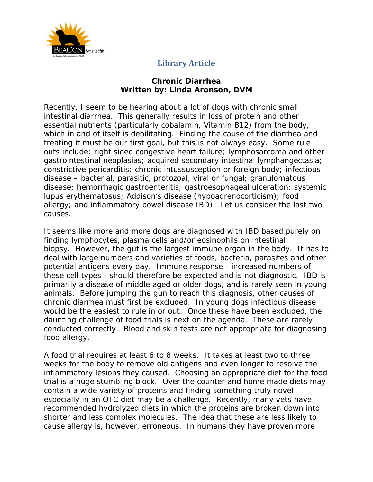

## **Library Article**

## **Chronic Diarrhea Written by: Linda Aronson, DVM**

Recently, I seem to be hearing about a lot of dogs with chronic small intestinal diarrhea. This generally results in loss of protein and other essential nutrients (particularly cobalamin, Vitamin B12) from the body, which in and of itself is debilitating. Finding the cause of the diarrhea and treating it must be our first goal, but this is not always easy. Some rule outs include: right sided congestive heart failure; lymphosarcoma and other gastrointestinal neoplasias; acquired secondary intestinal lymphangectasia; constrictive pericarditis; chronic intussusception or foreign body; infectious disease – bacterial, parasitic, protozoal, viral or fungal; granulomatous disease; hemorrhagic gastroenteritis; gastroesophageal ulceration; systemic lupus erythematosus; Addison's disease (hypoadrenocorticism); food allergy; and inflammatory bowel disease IBD). Let us consider the last two causes.

It seems like more and more dogs are diagnosed with IBD based purely on finding lymphocytes, plasma cells and/or eosinophils on intestinal biopsy. However, the gut is the largest immune organ in the body. It has to deal with large numbers and varieties of foods, bacteria, parasites and other potential antigens every day. Immune response - increased numbers of these cell types - should therefore be expected and is not diagnostic. IBD is primarily a disease of middle aged or older dogs, and is rarely seen in young animals. Before jumping the gun to reach this diagnosis, other causes of chronic diarrhea must first be excluded. In young dogs infectious disease would be the easiest to rule in or out. Once these have been excluded, the daunting challenge of food trials is next on the agenda. These are rarely conducted correctly. Blood and skin tests are not appropriate for diagnosing food allergy.

A food trial requires at least 6 to 8 weeks. It takes at least two to three weeks for the body to remove old antigens and even longer to resolve the inflammatory lesions they caused. Choosing an appropriate diet for the food trial is a huge stumbling block. Over the counter and home made diets may contain a wide variety of proteins and finding something truly novel especially in an OTC diet may be a challenge. Recently, many vets have recommended hydrolyzed diets in which the proteins are broken down into shorter and less complex molecules. The idea that these are less likely to cause allergy is, however, erroneous. In humans they have proven more